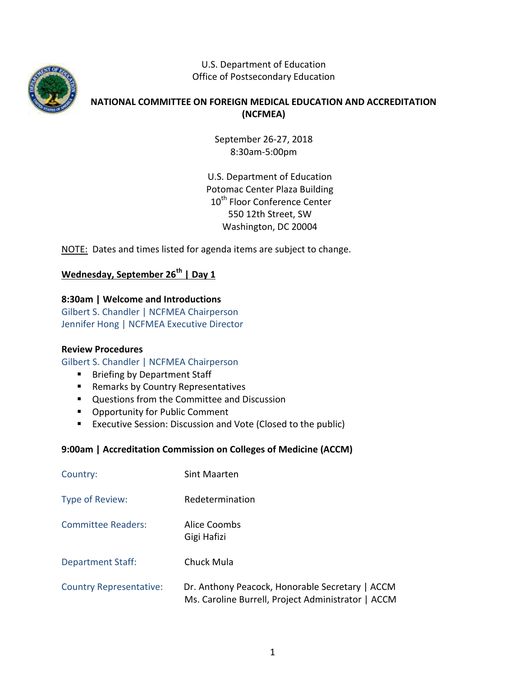

U.S. Department of Education Office of Postsecondary Education

# **NATIONAL COMMITTEE ON FOREIGN MEDICAL EDUCATION AND ACCREDITATION (NCFMEA)**

September 26-27, 2018 8:30am-5:00pm

U.S. Department of Education Potomac Center Plaza Building 10<sup>th</sup> Floor Conference Center 550 12th Street, SW Washington, DC 20004

NOTE: Dates and times listed for agenda items are subject to change.

# **Wednesday, September 26th | Day 1**

## **8:30am | Welcome and Introductions**

Gilbert S. Chandler | NCFMEA Chairperson Jennifer Hong | NCFMEA Executive Director

## **Review Procedures**

Gilbert S. Chandler | NCFMEA Chairperson

- **Briefing by Department Staff**
- **Remarks by Country Representatives**
- **Questions from the Committee and Discussion**
- **Opportunity for Public Comment**
- **EXECUTE:** Executive Session: Discussion and Vote (Closed to the public)

## **9:00am | Accreditation Commission on Colleges of Medicine (ACCM)**

| Country:                       | Sint Maarten                                                                                          |
|--------------------------------|-------------------------------------------------------------------------------------------------------|
| Type of Review:                | Redetermination                                                                                       |
| <b>Committee Readers:</b>      | Alice Coombs<br>Gigi Hafizi                                                                           |
| <b>Department Staff:</b>       | Chuck Mula                                                                                            |
| <b>Country Representative:</b> | Dr. Anthony Peacock, Honorable Secretary   ACCM<br>Ms. Caroline Burrell, Project Administrator   ACCM |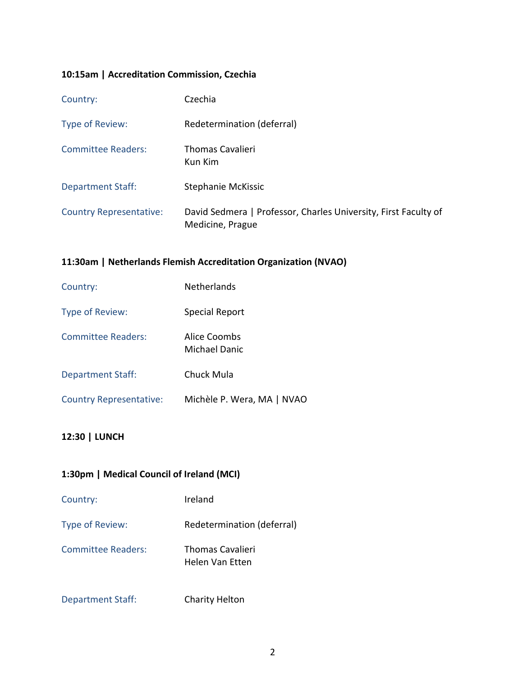## **10:15am | Accreditation Commission, Czechia**

| Country:                       | Czechia                                                                             |
|--------------------------------|-------------------------------------------------------------------------------------|
| Type of Review:                | Redetermination (deferral)                                                          |
| <b>Committee Readers:</b>      | <b>Thomas Cavalieri</b><br>Kun Kim                                                  |
| <b>Department Staff:</b>       | Stephanie McKissic                                                                  |
| <b>Country Representative:</b> | David Sedmera   Professor, Charles University, First Faculty of<br>Medicine, Prague |

## **11:30am | Netherlands Flemish Accreditation Organization (NVAO)**

| Country:                       | <b>Netherlands</b>            |
|--------------------------------|-------------------------------|
| Type of Review:                | Special Report                |
| <b>Committee Readers:</b>      | Alice Coombs<br>Michael Danic |
| <b>Department Staff:</b>       | Chuck Mula                    |
| <b>Country Representative:</b> | Michèle P. Wera, MA   NVAO    |

## **12:30 | LUNCH**

## **1:30pm | Medical Council of Ireland (MCI)**

| Country:                  | Ireland                                    |
|---------------------------|--------------------------------------------|
| Type of Review:           | Redetermination (deferral)                 |
| <b>Committee Readers:</b> | <b>Thomas Cavalieri</b><br>Helen Van Etten |
| <b>Department Staff:</b>  | <b>Charity Helton</b>                      |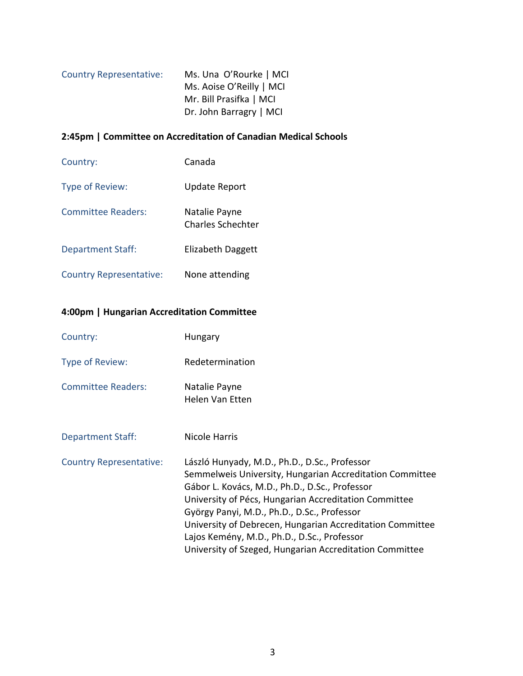| <b>Country Representative:</b> | Ms. Una O'Rourke   MCI   |
|--------------------------------|--------------------------|
|                                | Ms. Aoise O'Reilly   MCI |
|                                | Mr. Bill Prasifka   MCI  |
|                                | Dr. John Barragry   MCI  |

## **2:45pm | Committee on Accreditation of Canadian Medical Schools**

| Country:                       | Canada                             |
|--------------------------------|------------------------------------|
| Type of Review:                | <b>Update Report</b>               |
| <b>Committee Readers:</b>      | Natalie Payne<br>Charles Schechter |
| <b>Department Staff:</b>       | Elizabeth Daggett                  |
| <b>Country Representative:</b> | None attending                     |

## **4:00pm | Hungarian Accreditation Committee**

| Country:                       | <b>Hungary</b>                                                                                                                                                                                                                                                                                                                                                                                                                             |
|--------------------------------|--------------------------------------------------------------------------------------------------------------------------------------------------------------------------------------------------------------------------------------------------------------------------------------------------------------------------------------------------------------------------------------------------------------------------------------------|
| Type of Review:                | Redetermination                                                                                                                                                                                                                                                                                                                                                                                                                            |
| <b>Committee Readers:</b>      | Natalie Payne<br>Helen Van Etten                                                                                                                                                                                                                                                                                                                                                                                                           |
| <b>Department Staff:</b>       | Nicole Harris                                                                                                                                                                                                                                                                                                                                                                                                                              |
| <b>Country Representative:</b> | László Hunyady, M.D., Ph.D., D.Sc., Professor<br>Semmelweis University, Hungarian Accreditation Committee<br>Gábor L. Kovács, M.D., Ph.D., D.Sc., Professor<br>University of Pécs, Hungarian Accreditation Committee<br>György Panyi, M.D., Ph.D., D.Sc., Professor<br>University of Debrecen, Hungarian Accreditation Committee<br>Lajos Kemény, M.D., Ph.D., D.Sc., Professor<br>University of Szeged, Hungarian Accreditation Committee |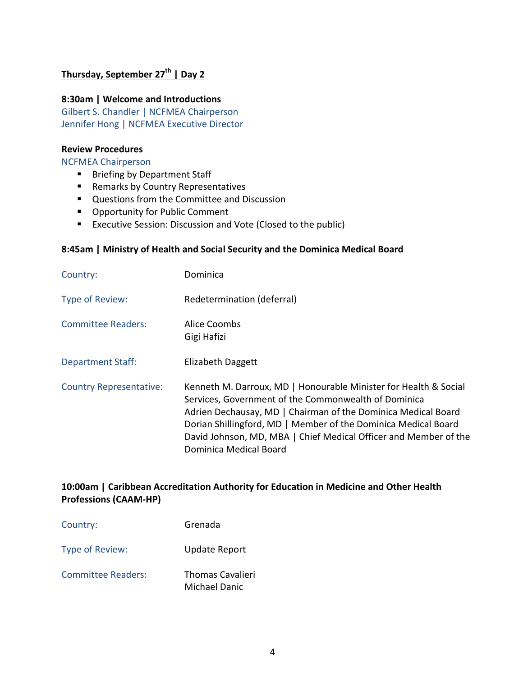## **Thursday, September 27th | Day 2**

#### **8:30am | Welcome and Introductions**

Gilbert S. Chandler | NCFMEA Chairperson Jennifer Hong | NCFMEA Executive Director

#### **Review Procedures**

NCFMEA Chairperson

- **Briefing by Department Staff**
- **Remarks by Country Representatives**
- **Questions from the Committee and Discussion**
- **Opportunity for Public Comment**
- **EXECUTER 25 THS EXECUTE:** Executive Session: Discussion and Vote (Closed to the public)

#### **8:45am | Ministry of Health and Social Security and the Dominica Medical Board**

| Country:                       | Dominica                                                                                                                                                                                                                                                                                                                                                  |
|--------------------------------|-----------------------------------------------------------------------------------------------------------------------------------------------------------------------------------------------------------------------------------------------------------------------------------------------------------------------------------------------------------|
| Type of Review:                | Redetermination (deferral)                                                                                                                                                                                                                                                                                                                                |
| <b>Committee Readers:</b>      | Alice Coombs<br>Gigi Hafizi                                                                                                                                                                                                                                                                                                                               |
| <b>Department Staff:</b>       | Elizabeth Daggett                                                                                                                                                                                                                                                                                                                                         |
| <b>Country Representative:</b> | Kenneth M. Darroux, MD   Honourable Minister for Health & Social<br>Services, Government of the Commonwealth of Dominica<br>Adrien Dechausay, MD   Chairman of the Dominica Medical Board<br>Dorian Shillingford, MD   Member of the Dominica Medical Board<br>David Johnson, MD, MBA   Chief Medical Officer and Member of the<br>Dominica Medical Board |

### **10:00am | Caribbean Accreditation Authority for Education in Medicine and Other Health Professions (CAAM-HP)**

| Country:                  | Grenada                                  |
|---------------------------|------------------------------------------|
| Type of Review:           | Update Report                            |
| <b>Committee Readers:</b> | <b>Thomas Cavalieri</b><br>Michael Danic |